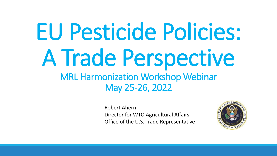# EU Pesticide Policies: A Trade Perspective MRL Harmonization Workshop Webinar May 25-26, 2022

Robert Ahern Director for WTO Agricultural Affairs Office of the U.S. Trade Representative

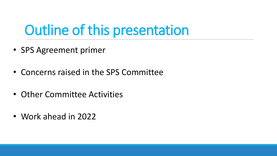### Outline of this presentation

- SPS Agreement primer
- Concerns raised in the SPS Committee
- Other Committee Activities
- Work ahead in 2022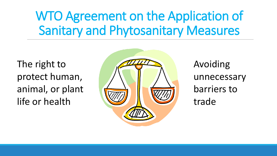### WTO Agreement on the Application of Sanitary and Phytosanitary Measures

The right to protect human, animal, or plant life or health



Avoiding unnecessary barriers to trade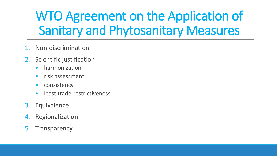### WTO Agreement on the Application of Sanitary and Phytosanitary Measures

- 1. Non-discrimination
- 2. Scientific justification
	- harmonization
	- risk assessment
	- consistency
	- least trade-restrictiveness
- 3. Equivalence
- 4. Regionalization
- 5. Transparency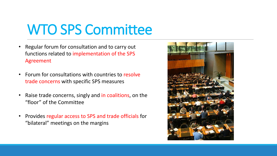### WTO SPS Committee

- Regular forum for consultation and to carry out functions related to implementation of the SPS Agreement
- Forum for consultations with countries to resolve trade concerns with specific SPS measures
- Raise trade concerns, singly and in coalitions, on the "floor" of the Committee
- Provides regular access to SPS and trade officials for "bilateral" meetings on the margins

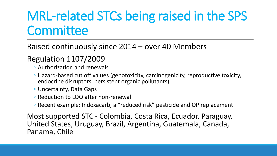### MRL-related STCs being raised in the SPS **Committee**

Raised continuously since 2014 – over 40 Members

#### Regulation 1107/2009

- Authorization and renewals
- Hazard-based cut off values (genotoxicity, carcinogenicity, reproductive toxicity, endocrine disruptors, persistent organic pollutants)
- Uncertainty, Data Gaps
- Reduction to LOQ after non-renewal
- Recent example: Indoxacarb, a "reduced risk" pesticide and OP replacement

Most supported STC - Colombia, Costa Rica, Ecuador, Paraguay, United States, Uruguay, Brazil, Argentina, Guatemala, Canada, Panama, Chile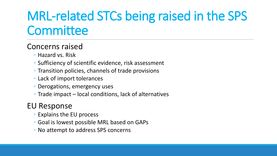### MRL-related STCs being raised in the SPS **Committee**

#### Concerns raised

- Hazard vs. Risk
- Sufficiency of scientific evidence, risk assessment
- Transition policies, channels of trade provisions
- Lack of import tolerances
- Derogations, emergency uses
- Trade impact local conditions, lack of alternatives

#### EU Response

- Explains the EU process
- Goal is lowest possible MRL based on GAPs
- No attempt to address SPS concerns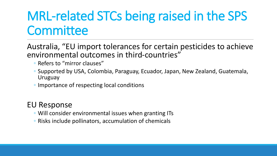### MRL-related STCs being raised in the SPS **Committee**

Australia, "EU import tolerances for certain pesticides to achieve environmental outcomes in third-countries"

- Refers to "mirror clauses"
- Supported by USA, Colombia, Paraguay, Ecuador, Japan, New Zealand, Guatemala, Uruguay
- Importance of respecting local conditions

#### EU Response

- Will consider environmental issues when granting ITs
- Risks include pollinators, accumulation of chemicals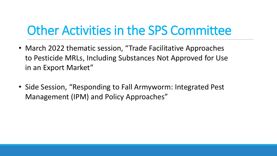### Other Activities in the SPS Committee

- March 2022 thematic session, "Trade Facilitative Approaches to Pesticide MRLs, Including Substances Not Approved for Use in an Export Market"
- Side Session, "Responding to Fall Armyworm: Integrated Pest Management (IPM) and Policy Approaches"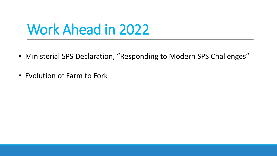### Work Ahead in 2022

- Ministerial SPS Declaration, "Responding to Modern SPS Challenges"
- Evolution of Farm to Fork